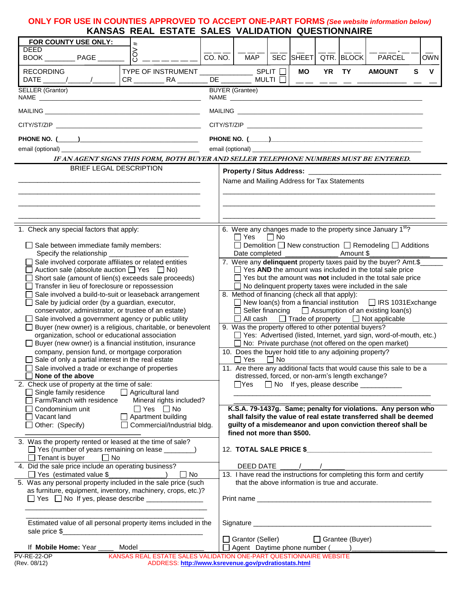## **ONLY FOR USE IN COUNTIES APPROVED TO ACCEPT ONE-PART FORMS** *(See website information below)* **KANSAS REAL ESTATE SALES VALIDATION QUESTIONNAIRE**

| FOR COUNTY USE ONLY:<br><b>DEED</b>                                                                                                                                                                                                                                                                                                                                                                                                                                                                                                                                                                                                 |  | $\pmb{\ast}$                                                                                                                                                                               |         |                                                                                                                                                                                                                                                                                                                                                                                                                                                                                                                                                                                                                                                                                                                                               |  |           |       |            |                                                                                                                                                                                                                                |   |             |  |
|-------------------------------------------------------------------------------------------------------------------------------------------------------------------------------------------------------------------------------------------------------------------------------------------------------------------------------------------------------------------------------------------------------------------------------------------------------------------------------------------------------------------------------------------------------------------------------------------------------------------------------------|--|--------------------------------------------------------------------------------------------------------------------------------------------------------------------------------------------|---------|-----------------------------------------------------------------------------------------------------------------------------------------------------------------------------------------------------------------------------------------------------------------------------------------------------------------------------------------------------------------------------------------------------------------------------------------------------------------------------------------------------------------------------------------------------------------------------------------------------------------------------------------------------------------------------------------------------------------------------------------------|--|-----------|-------|------------|--------------------------------------------------------------------------------------------------------------------------------------------------------------------------------------------------------------------------------|---|-------------|--|
| BOOK ______________ PAGE ______                                                                                                                                                                                                                                                                                                                                                                                                                                                                                                                                                                                                     |  | $\frac{1}{\text{C}}$                                                                                                                                                                       | CO. NO. | MAP                                                                                                                                                                                                                                                                                                                                                                                                                                                                                                                                                                                                                                                                                                                                           |  | SEC SHEET |       | QTR. BLOCK | <b>PARCEL</b>                                                                                                                                                                                                                  |   | <b>OWN</b>  |  |
| <b>RECORDING</b>                                                                                                                                                                                                                                                                                                                                                                                                                                                                                                                                                                                                                    |  | CR _______________ RA ____________                                                                                                                                                         |         |                                                                                                                                                                                                                                                                                                                                                                                                                                                                                                                                                                                                                                                                                                                                               |  | MO        | YR TY |            | <b>AMOUNT</b>                                                                                                                                                                                                                  | S | $\mathbf v$ |  |
| SELLER (Grantor)                                                                                                                                                                                                                                                                                                                                                                                                                                                                                                                                                                                                                    |  |                                                                                                                                                                                            |         | <b>BUYER</b> (Grantee)                                                                                                                                                                                                                                                                                                                                                                                                                                                                                                                                                                                                                                                                                                                        |  |           |       |            | NAME And the contract of the contract of the contract of the contract of the contract of the contract of the contract of the contract of the contract of the contract of the contract of the contract of the contract of the c |   |             |  |
|                                                                                                                                                                                                                                                                                                                                                                                                                                                                                                                                                                                                                                     |  |                                                                                                                                                                                            |         |                                                                                                                                                                                                                                                                                                                                                                                                                                                                                                                                                                                                                                                                                                                                               |  |           |       |            |                                                                                                                                                                                                                                |   |             |  |
|                                                                                                                                                                                                                                                                                                                                                                                                                                                                                                                                                                                                                                     |  |                                                                                                                                                                                            |         |                                                                                                                                                                                                                                                                                                                                                                                                                                                                                                                                                                                                                                                                                                                                               |  |           |       |            |                                                                                                                                                                                                                                |   |             |  |
| email (optional) email (optional)                                                                                                                                                                                                                                                                                                                                                                                                                                                                                                                                                                                                   |  |                                                                                                                                                                                            |         |                                                                                                                                                                                                                                                                                                                                                                                                                                                                                                                                                                                                                                                                                                                                               |  |           |       |            |                                                                                                                                                                                                                                |   |             |  |
|                                                                                                                                                                                                                                                                                                                                                                                                                                                                                                                                                                                                                                     |  | IF AN AGENT SIGNS THIS FORM, BOTH BUYER AND SELLER TELEPHONE NUMBERS MUST BE ENTERED.                                                                                                      |         |                                                                                                                                                                                                                                                                                                                                                                                                                                                                                                                                                                                                                                                                                                                                               |  |           |       |            |                                                                                                                                                                                                                                |   |             |  |
| BRIEF LEGAL DESCRIPTION                                                                                                                                                                                                                                                                                                                                                                                                                                                                                                                                                                                                             |  |                                                                                                                                                                                            |         | Name and Mailing Address for Tax Statements                                                                                                                                                                                                                                                                                                                                                                                                                                                                                                                                                                                                                                                                                                   |  |           |       |            |                                                                                                                                                                                                                                |   |             |  |
|                                                                                                                                                                                                                                                                                                                                                                                                                                                                                                                                                                                                                                     |  |                                                                                                                                                                                            |         |                                                                                                                                                                                                                                                                                                                                                                                                                                                                                                                                                                                                                                                                                                                                               |  |           |       |            |                                                                                                                                                                                                                                |   |             |  |
| 1. Check any special factors that apply:<br>$\Box$ Sale between immediate family members:                                                                                                                                                                                                                                                                                                                                                                                                                                                                                                                                           |  |                                                                                                                                                                                            |         | 6. Were any changes made to the property since January 1 <sup>st</sup> ?<br>$\Box$ Yes<br>$\Box$ No<br>$\Box$ Demolition $\Box$ New construction $\Box$ Remodeling $\Box$ Additions<br>Date completed _____________<br>Amount \$                                                                                                                                                                                                                                                                                                                                                                                                                                                                                                              |  |           |       |            |                                                                                                                                                                                                                                |   |             |  |
| Sale involved corporate affiliates or related entities<br>Auction sale (absolute auction $\Box$ Yes $\Box$ No)<br>Short sale (amount of lien(s) exceeds sale proceeds)<br>Transfer in lieu of foreclosure or repossession<br>Sale involved a build-to-suit or leaseback arrangement<br>Sale by judicial order (by a guardian, executor,<br>conservator, administrator, or trustee of an estate)<br>Sale involved a government agency or public utility<br>Buyer (new owner) is a religious, charitable, or benevolent<br>organization, school or educational association<br>Buyer (new owner) is a financial institution, insurance |  |                                                                                                                                                                                            |         | 7. Were any delinquent property taxes paid by the buyer? Amt.\$_<br>$\Box$ Yes AND the amount was included in the total sale price<br>$\Box$ Yes but the amount was not included in the total sale price<br>$\Box$ No delinquent property taxes were included in the sale<br>8. Method of financing (check all that apply):<br>$\Box$ New loan(s) from a financial institution $\Box$ IRS 1031 Exchange<br>$\Box$ Seller financing $\Box$ Assumption of an existing loan(s)<br>$\Box$ All cash $\Box$ Trade of property $\Box$ Not applicable<br>9. Was the property offered to other potential buyers?<br>Yes: Advertised (listed, Internet, yard sign, word-of-mouth, etc.)<br>$\Box$ No: Private purchase (not offered on the open market) |  |           |       |            |                                                                                                                                                                                                                                |   |             |  |
| company, pension fund, or mortgage corporation<br>Sale of only a partial interest in the real estate<br>Sale involved a trade or exchange of properties                                                                                                                                                                                                                                                                                                                                                                                                                                                                             |  |                                                                                                                                                                                            |         | 10. Does the buyer hold title to any adjoining property?<br>$\Box$ Yes $\Box$ No<br>11. Are there any additional facts that would cause this sale to be a                                                                                                                                                                                                                                                                                                                                                                                                                                                                                                                                                                                     |  |           |       |            |                                                                                                                                                                                                                                |   |             |  |
| None of the above<br>2. Check use of property at the time of sale:<br>Agricultural land<br>$\Box$ Single family residence                                                                                                                                                                                                                                                                                                                                                                                                                                                                                                           |  |                                                                                                                                                                                            |         | distressed, forced, or non-arm's length exchange?<br>□ No If yes, please describe ___________<br>l IYes                                                                                                                                                                                                                                                                                                                                                                                                                                                                                                                                                                                                                                       |  |           |       |            |                                                                                                                                                                                                                                |   |             |  |
| Farm/Ranch with residence<br>Mineral rights included?<br>$\Box$ Yes $\Box$ No<br>Condominium unit<br>$\Box$ Apartment building<br>Vacant land<br>□ Commercial/Industrial bldg.<br>Other: (Specify)                                                                                                                                                                                                                                                                                                                                                                                                                                  |  |                                                                                                                                                                                            |         | K.S.A. 79-1437g. Same; penalty for violations. Any person who<br>shall falsify the value of real estate transferred shall be deemed<br>guilty of a misdemeanor and upon conviction thereof shall be<br>fined not more than \$500.                                                                                                                                                                                                                                                                                                                                                                                                                                                                                                             |  |           |       |            |                                                                                                                                                                                                                                |   |             |  |
| 3. Was the property rented or leased at the time of sale?<br>Yes (number of years remaining on lease _______)<br>$\Box$ Tenant is buyer $\Box$ No                                                                                                                                                                                                                                                                                                                                                                                                                                                                                   |  |                                                                                                                                                                                            |         | 12. <b>TOTAL SALE PRICE \$</b>                                                                                                                                                                                                                                                                                                                                                                                                                                                                                                                                                                                                                                                                                                                |  |           |       |            |                                                                                                                                                                                                                                |   |             |  |
| 4. Did the sale price include an operating business?<br>Yes (estimated value \$<br>$\Box$ No<br>5. Was any personal property included in the sale price (such<br>as furniture, equipment, inventory, machinery, crops, etc.)?                                                                                                                                                                                                                                                                                                                                                                                                       |  |                                                                                                                                                                                            |         | DEED DATE $\_\_\_\_\_\_\_\_\_\_\$<br>13. I have read the instructions for completing this form and certify<br>that the above information is true and accurate.                                                                                                                                                                                                                                                                                                                                                                                                                                                                                                                                                                                |  |           |       |            |                                                                                                                                                                                                                                |   |             |  |
| □ Yes □ No If yes, please describe _______________<br>Estimated value of all personal property items included in the                                                                                                                                                                                                                                                                                                                                                                                                                                                                                                                |  |                                                                                                                                                                                            |         |                                                                                                                                                                                                                                                                                                                                                                                                                                                                                                                                                                                                                                                                                                                                               |  |           |       |            |                                                                                                                                                                                                                                |   |             |  |
| If Mobile Home: Year ____<br>PV-RE-22-OP                                                                                                                                                                                                                                                                                                                                                                                                                                                                                                                                                                                            |  | Grantee (Buyer)<br>Grantor (Seller)<br>___ Model _________________________   __] Agent Daytime phone number (______)<br>KANSAS REAL ESTATE SALES VALIDATION ONE-PART QUESTIONNAIRE WEBSITE |         |                                                                                                                                                                                                                                                                                                                                                                                                                                                                                                                                                                                                                                                                                                                                               |  |           |       |            |                                                                                                                                                                                                                                |   |             |  |
| (Rev. 08/12)                                                                                                                                                                                                                                                                                                                                                                                                                                                                                                                                                                                                                        |  | ADDRESS: http://www.ksrevenue.gov/pvdratiostats.html                                                                                                                                       |         |                                                                                                                                                                                                                                                                                                                                                                                                                                                                                                                                                                                                                                                                                                                                               |  |           |       |            |                                                                                                                                                                                                                                |   |             |  |